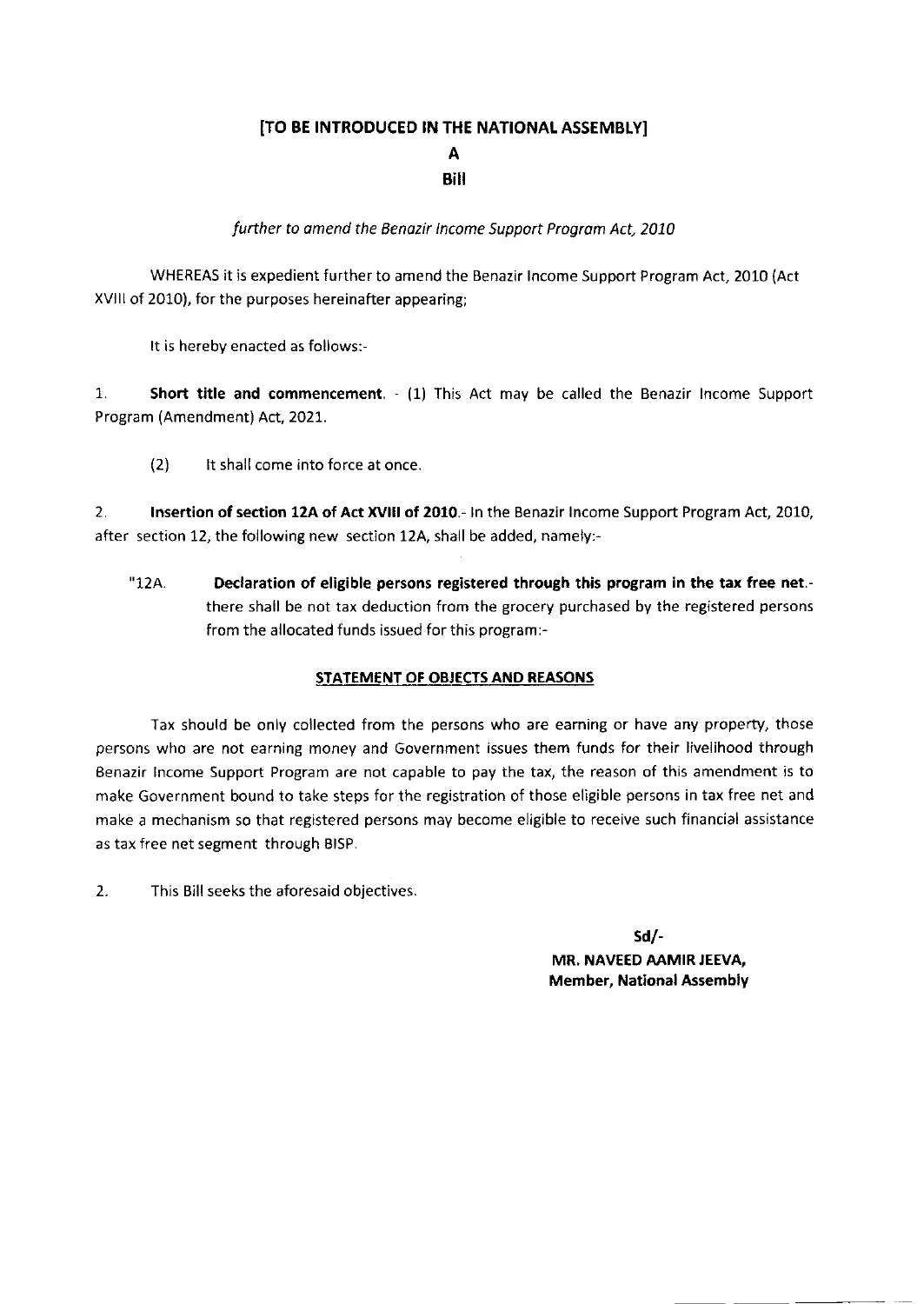## [TO BE INTRODUCED IN THE NATIONAL ASSEMBLY]

A

Bill

further to amend the Benazir Income Support Program Act, 2010

WHEREAS it is expedient further to amend the Benazir lncome Support Program Act, 2010 {Act XVlll of 2010), for the purposes hereinafter appearing;

It is hereby enacted as follows:-

1. Short title and commencement.  $- (1)$  This Act may be called the Benazir Income Support Program (Amendment) Act, 2021.

(2) It shall come into force at once.

2. Insertion of section 12A of Act XVIII of 2010.- In the Benazir Income Support Program Act, 2010, after section 12, the following new section 12A, shall be added, namely:-

"12A. Declaration of eligible persons registered through this program in the tax free net.there shall be not tax deduction from the grocery purchased by the registered persons from the allocated funds issued for this program:-

## STATEMENT OF OBJECTS AND REASONS

Tax should be only collected from the persons who are earning or have any property, those persons who are not earning money and Government issues them funds for their livelihood through Benazir lncome Support Program are not capable to pay the tax, the reason of this amendment is to make Government bound to take steps for the registration of those eligible persons in tax free net and make a mechanism so that registered persons may become eligible to receive such financial assistance as tax free net segment through BlsP.

2. This Bill seeks the aforesaid objectives.

sd/- MR. NAVEED AAMIR JEEVA, Member, National Assembly